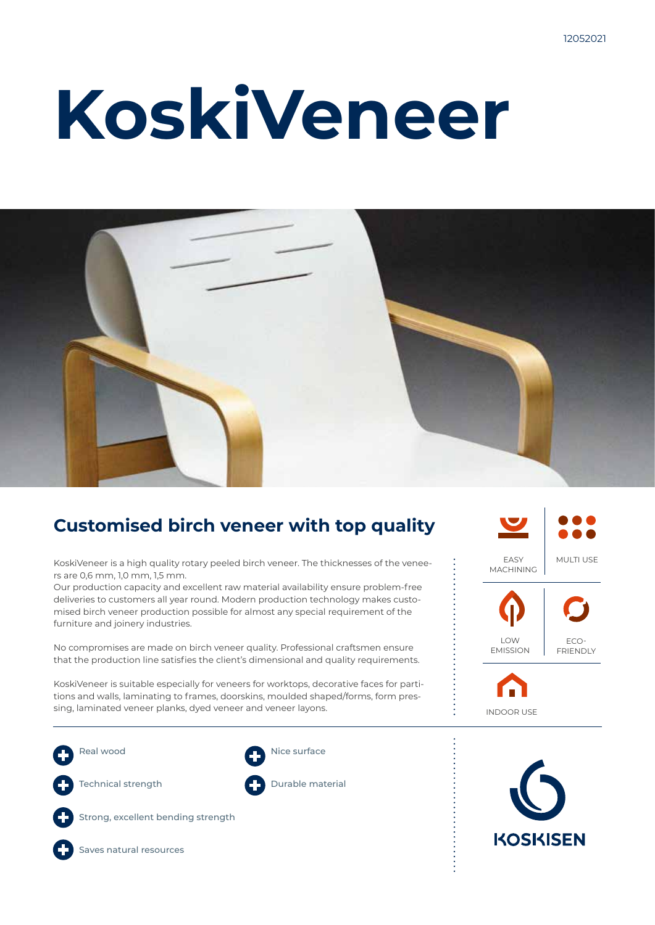# **KoskiVeneer**



### **Customised birch veneer with top quality**

KoskiVeneer is a high quality rotary peeled birch veneer. The thicknesses of the veneers are 0,6 mm, 1,0 mm, 1,5 mm.

Our production capacity and excellent raw material availability ensure problem-free deliveries to customers all year round. Modern production technology makes customised birch veneer production possible for almost any special requirement of the furniture and joinery industries.

No compromises are made on birch veneer quality. Professional craftsmen ensure that the production line satisfies the client's dimensional and quality requirements.

KoskiVeneer is suitable especially for veneers for worktops, decorative faces for partitions and walls, laminating to frames, doorskins, moulded shaped/forms, form pressing, laminated veneer planks, dyed veneer and veneer layons.

Real wood Technical strength Strong, excellent bending strength Nice surface Durable material





Saves natural resources